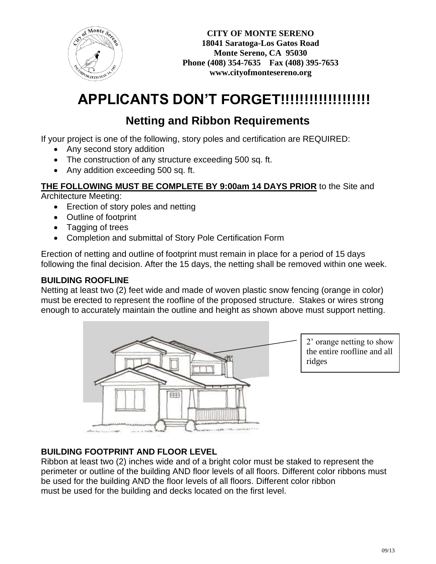

# **APPLICANTS DON'T FORGET!!!!!!!!!!!!!!!!!!!**

## **Netting and Ribbon Requirements**

If your project is one of the following, story poles and certification are REQUIRED:

- Any second story addition
- The construction of any structure exceeding 500 sq. ft.
- Any addition exceeding 500 sq. ft.

**THE FOLLOWING MUST BE COMPLETE BY 9:00am 14 DAYS PRIOR** to the Site and Architecture Meeting:

- Erection of story poles and netting
- Outline of footprint
- Tagging of trees
- Completion and submittal of Story Pole Certification Form

Erection of netting and outline of footprint must remain in place for a period of 15 days following the final decision. After the 15 days, the netting shall be removed within one week.

#### **BUILDING ROOFLINE**

Netting at least two (2) feet wide and made of woven plastic snow fencing (orange in color) must be erected to represent the roofline of the proposed structure. Stakes or wires strong enough to accurately maintain the outline and height as shown above must support netting.



#### **BUILDING FOOTPRINT AND FLOOR LEVEL**

Ribbon at least two (2) inches wide and of a bright color must be staked to represent the perimeter or outline of the building AND floor levels of all floors. Different color ribbons must be used for the building AND the floor levels of all floors. Different color ribbon must be used for the building and decks located on the first level.